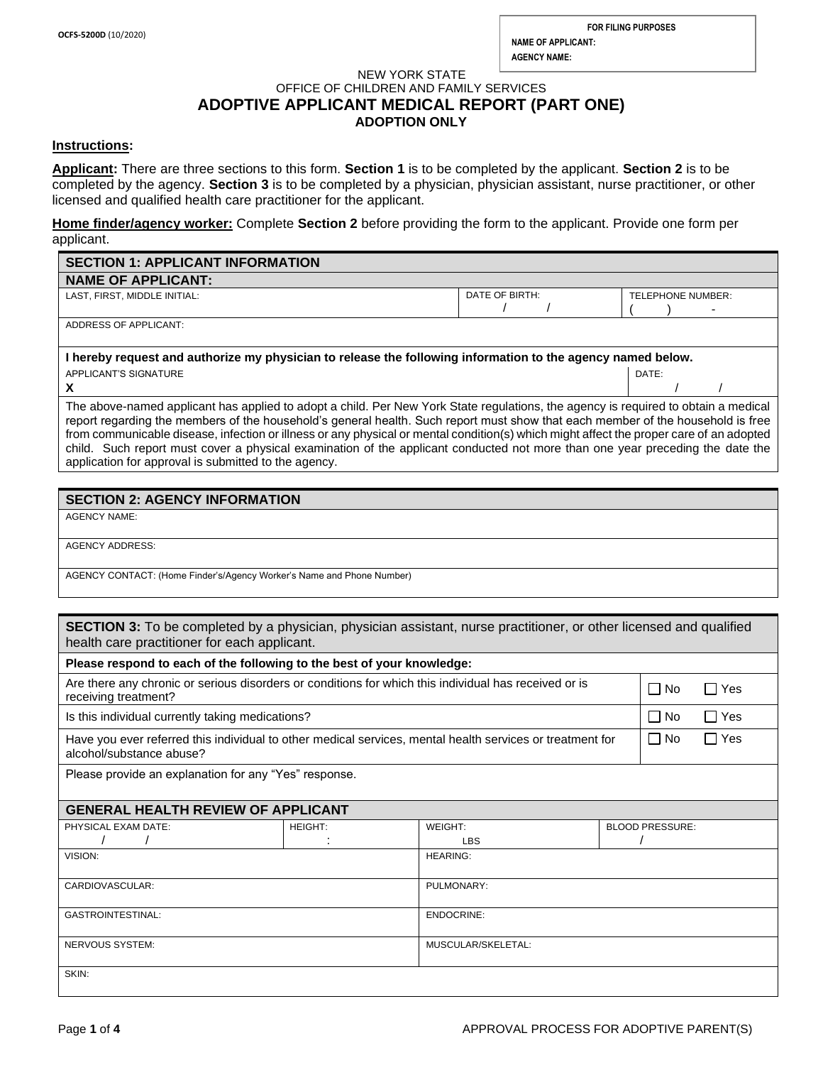/ /

#### NEW YORK STATE OFFICE OF CHILDREN AND FAMILY SERVICES **ADOPTIVE APPLICANT MEDICAL REPORT (PART ONE) ADOPTION ONLY**

#### **Instructions:**

**Applicant:** There are three sections to this form. **Section 1** is to be completed by the applicant. **Section 2** is to be completed by the agency. **Section 3** is to be completed by a physician, physician assistant, nurse practitioner, or other licensed and qualified health care practitioner for the applicant.

**Home finder/agency worker:** Complete **Section 2** before providing the form to the applicant. Provide one form per applicant.

| <b>SECTION 1: APPLICANT INFORMATION</b>                                                                   |                |                                               |
|-----------------------------------------------------------------------------------------------------------|----------------|-----------------------------------------------|
| <b>NAME OF APPLICANT:</b>                                                                                 |                |                                               |
| LAST. FIRST. MIDDLE INITIAL:                                                                              | DATE OF BIRTH: | TELEPHONE NUMBER:<br>$\overline{\phantom{0}}$ |
| ADDRESS OF APPLICANT:                                                                                     |                |                                               |
| Lhoroby roquest and qutborize my physician to release the following information to the agency named below |                |                                               |

**I hereby request and authorize my physician to release the following information to the agency named below.** APPLICANT'S SIGNATURE DATE:

**X**

The above-named applicant has applied to adopt a child. Per New York State regulations, the agency is required to obtain a medical report regarding the members of the household's general health. Such report must show that each member of the household is free from communicable disease, infection or illness or any physical or mental condition(s) which might affect the proper care of an adopted child. Such report must cover a physical examination of the applicant conducted not more than one year preceding the date the application for approval is submitted to the agency.

# **SECTION 2: AGENCY INFORMATION**

AGENCY NAME:

AGENCY ADDRESS:

AGENCY CONTACT: (Home Finder's/Agency Worker's Name and Phone Number)

| <b>SECTION 3:</b> To be completed by a physician, physician assistant, nurse practitioner, or other licensed and qualified |  |
|----------------------------------------------------------------------------------------------------------------------------|--|
| health care practitioner for each applicant.                                                                               |  |
|                                                                                                                            |  |

| Please respond to each of the following to the best of your knowledge:                                                                |                |                                   |                               |  |
|---------------------------------------------------------------------------------------------------------------------------------------|----------------|-----------------------------------|-------------------------------|--|
| Are there any chronic or serious disorders or conditions for which this individual has received or is<br>receiving treatment?         |                |                                   | $\Box$ No<br>□ Yes            |  |
| Is this individual currently taking medications?                                                                                      |                |                                   | ∐ No<br>Yes<br>$\blacksquare$ |  |
| Have you ever referred this individual to other medical services, mental health services or treatment for<br>alcohol/substance abuse? |                |                                   | l I No<br>□ Yes               |  |
| Please provide an explanation for any "Yes" response.                                                                                 |                |                                   |                               |  |
| <b>GENERAL HEALTH REVIEW OF APPLICANT</b>                                                                                             |                |                                   |                               |  |
| PHYSICAL EXAM DATE:                                                                                                                   | <b>HEIGHT:</b> | WEIGHT:<br><b>BLOOD PRESSURE:</b> |                               |  |
|                                                                                                                                       |                | <b>LBS</b>                        |                               |  |
| VISION:                                                                                                                               |                | <b>HEARING:</b>                   |                               |  |
| CARDIOVASCULAR:                                                                                                                       |                | PULMONARY:                        |                               |  |
| <b>GASTROINTESTINAL:</b>                                                                                                              |                | <b>ENDOCRINE:</b>                 |                               |  |
| NERVOUS SYSTEM:                                                                                                                       |                | MUSCULAR/SKELETAL:                |                               |  |
| SKIN:                                                                                                                                 |                |                                   |                               |  |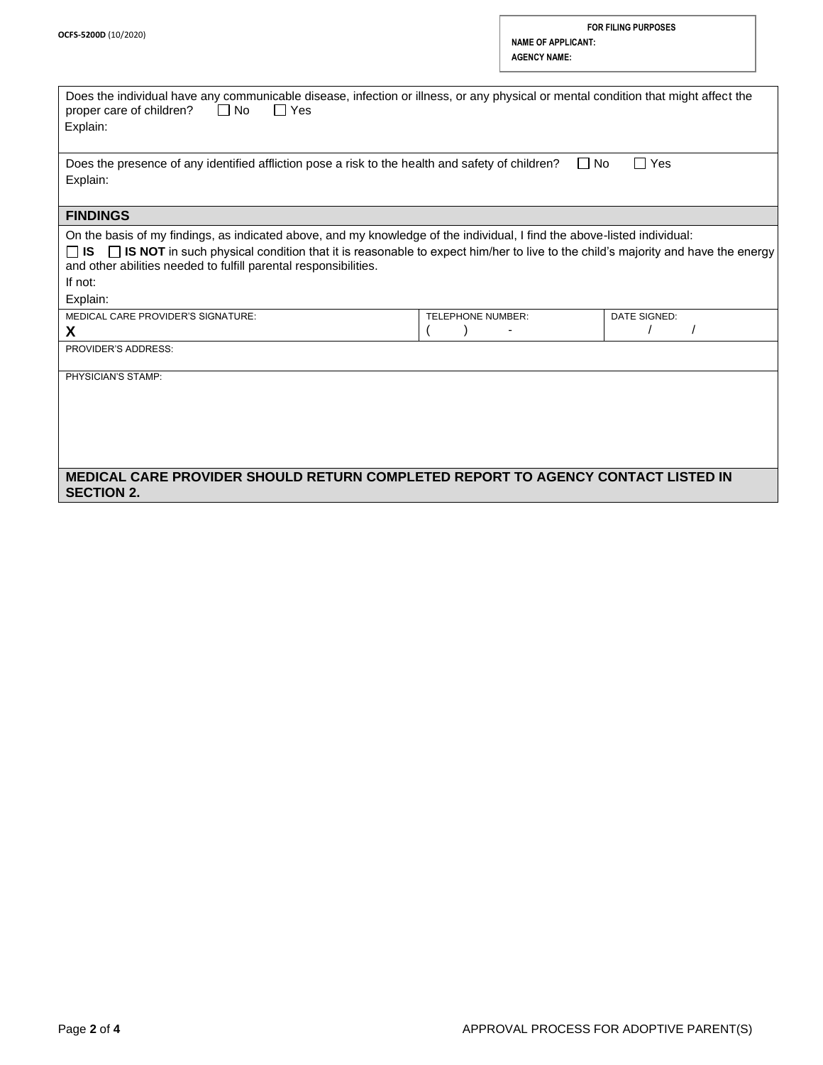| Does the individual have any communicable disease, infection or illness, or any physical or mental condition that might affect the<br>$\Box$ No<br>$\Box$ Yes<br>proper care of children?<br>Explain:                                                                                                                                                            |                   |              |
|------------------------------------------------------------------------------------------------------------------------------------------------------------------------------------------------------------------------------------------------------------------------------------------------------------------------------------------------------------------|-------------------|--------------|
| $\Box$ Yes<br>l INo<br>Does the presence of any identified affliction pose a risk to the health and safety of children?<br>Explain:                                                                                                                                                                                                                              |                   |              |
| <b>FINDINGS</b>                                                                                                                                                                                                                                                                                                                                                  |                   |              |
| On the basis of my findings, as indicated above, and my knowledge of the individual, I find the above-listed individual:<br>□ IS NOT in such physical condition that it is reasonable to expect him/her to live to the child's majority and have the energy<br>⊟ is i<br>and other abilities needed to fulfill parental responsibilities.<br>If not:<br>Explain: |                   |              |
| MEDICAL CARE PROVIDER'S SIGNATURE:                                                                                                                                                                                                                                                                                                                               | TELEPHONE NUMBER: | DATE SIGNED: |
| X                                                                                                                                                                                                                                                                                                                                                                |                   |              |
| PROVIDER'S ADDRESS:                                                                                                                                                                                                                                                                                                                                              |                   |              |
| PHYSICIAN'S STAMP:                                                                                                                                                                                                                                                                                                                                               |                   |              |
| MEDICAL CARE PROVIDER SHOULD RETURN COMPLETED REPORT TO AGENCY CONTACT LISTED IN<br><b>SECTION 2.</b>                                                                                                                                                                                                                                                            |                   |              |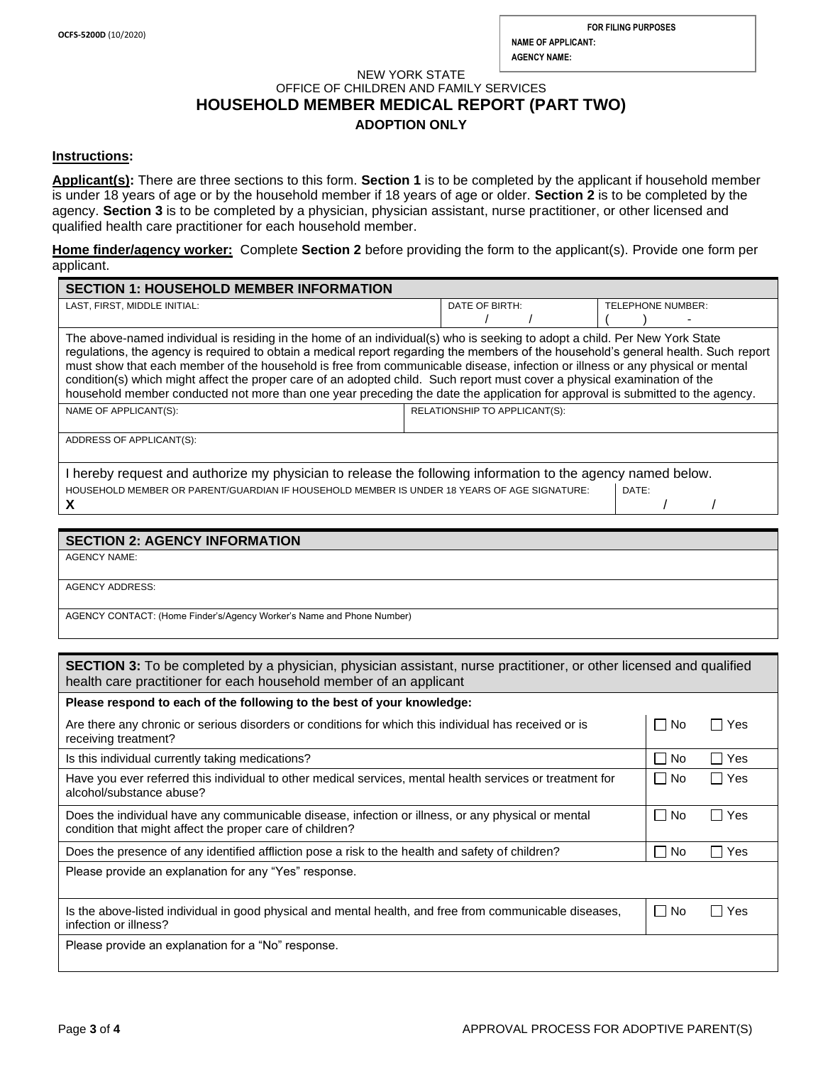# NEW YORK STATE OFFICE OF CHILDREN AND FAMILY SERVICES **HOUSEHOLD MEMBER MEDICAL REPORT (PART TWO) ADOPTION ONLY**

### **Instructions:**

**Applicant(s):** There are three sections to this form. **Section 1** is to be completed by the applicant if household member is under 18 years of age or by the household member if 18 years of age or older. **Section 2** is to be completed by the agency. **Section 3** is to be completed by a physician, physician assistant, nurse practitioner, or other licensed and qualified health care practitioner for each household member.

**Home finder/agency worker:** Complete **Section 2** before providing the form to the applicant(s). Provide one form per applicant.

| <b>SECTION 1: HOUSEHOLD MEMBER INFORMATION</b>                                                                                                                                                                                                                                                                                                                                                                                                                                                                                                                                                                                                                   |                                            |  |
|------------------------------------------------------------------------------------------------------------------------------------------------------------------------------------------------------------------------------------------------------------------------------------------------------------------------------------------------------------------------------------------------------------------------------------------------------------------------------------------------------------------------------------------------------------------------------------------------------------------------------------------------------------------|--------------------------------------------|--|
| LAST, FIRST, MIDDLE INITIAL:                                                                                                                                                                                                                                                                                                                                                                                                                                                                                                                                                                                                                                     | DATE OF BIRTH:<br><b>TELEPHONE NUMBER:</b> |  |
|                                                                                                                                                                                                                                                                                                                                                                                                                                                                                                                                                                                                                                                                  |                                            |  |
| The above-named individual is residing in the home of an individual(s) who is seeking to adopt a child. Per New York State<br>regulations, the agency is required to obtain a medical report regarding the members of the household's general health. Such report<br>must show that each member of the household is free from communicable disease, infection or illness or any physical or mental<br>condition(s) which might affect the proper care of an adopted child. Such report must cover a physical examination of the<br>household member conducted not more than one year preceding the date the application for approval is submitted to the agency. |                                            |  |
| NAME OF APPLICANT(S):                                                                                                                                                                                                                                                                                                                                                                                                                                                                                                                                                                                                                                            | RELATIONSHIP TO APPLICANT(S):              |  |
| ADDRESS OF APPLICANT(S):                                                                                                                                                                                                                                                                                                                                                                                                                                                                                                                                                                                                                                         |                                            |  |
| I hereby request and authorize my physician to release the following information to the agency named below.                                                                                                                                                                                                                                                                                                                                                                                                                                                                                                                                                      |                                            |  |
| HOUSEHOLD MEMBER OR PARENT/GUARDIAN IF HOUSEHOLD MEMBER IS UNDER 18 YEARS OF AGE SIGNATURE:<br>DATE:                                                                                                                                                                                                                                                                                                                                                                                                                                                                                                                                                             |                                            |  |
| x                                                                                                                                                                                                                                                                                                                                                                                                                                                                                                                                                                                                                                                                |                                            |  |
|                                                                                                                                                                                                                                                                                                                                                                                                                                                                                                                                                                                                                                                                  |                                            |  |

### **SECTION 2: AGENCY INFORMATION**

AGENCY NAME:

AGENCY ADDRESS:

AGENCY CONTACT: (Home Finder's/Agency Worker's Name and Phone Number)

| <b>SECTION 3:</b> To be completed by a physician, physician assistant, nurse practitioner, or other licensed and qualified<br>health care practitioner for each household member of an applicant |                     |                       |
|--------------------------------------------------------------------------------------------------------------------------------------------------------------------------------------------------|---------------------|-----------------------|
| Please respond to each of the following to the best of your knowledge:                                                                                                                           |                     |                       |
| Are there any chronic or serious disorders or conditions for which this individual has received or is<br>receiving treatment?                                                                    | No.<br>$\Box$       | Yes<br>$\mathsf{L}$   |
| Is this individual currently taking medications?                                                                                                                                                 | $\Box$<br>No.       | Yes<br>$\mathsf{L}$   |
| Have you ever referred this individual to other medical services, mental health services or treatment for<br>alcohol/substance abuse?                                                            | l I No              | $\Box$ Yes            |
| Does the individual have any communicable disease, infection or illness, or any physical or mental<br>condition that might affect the proper care of children?                                   | $\Box$<br><b>No</b> | Yes<br>$\blacksquare$ |
| Does the presence of any identified affliction pose a risk to the health and safety of children?                                                                                                 | $\Box$<br><b>No</b> | Yes<br>$\mathsf{L}$   |
| Please provide an explanation for any "Yes" response.                                                                                                                                            |                     |                       |
| Is the above-listed individual in good physical and mental health, and free from communicable diseases,<br>infection or illness?                                                                 | $\Box$<br><b>No</b> | Yes<br>$\blacksquare$ |
| Please provide an explanation for a "No" response.                                                                                                                                               |                     |                       |